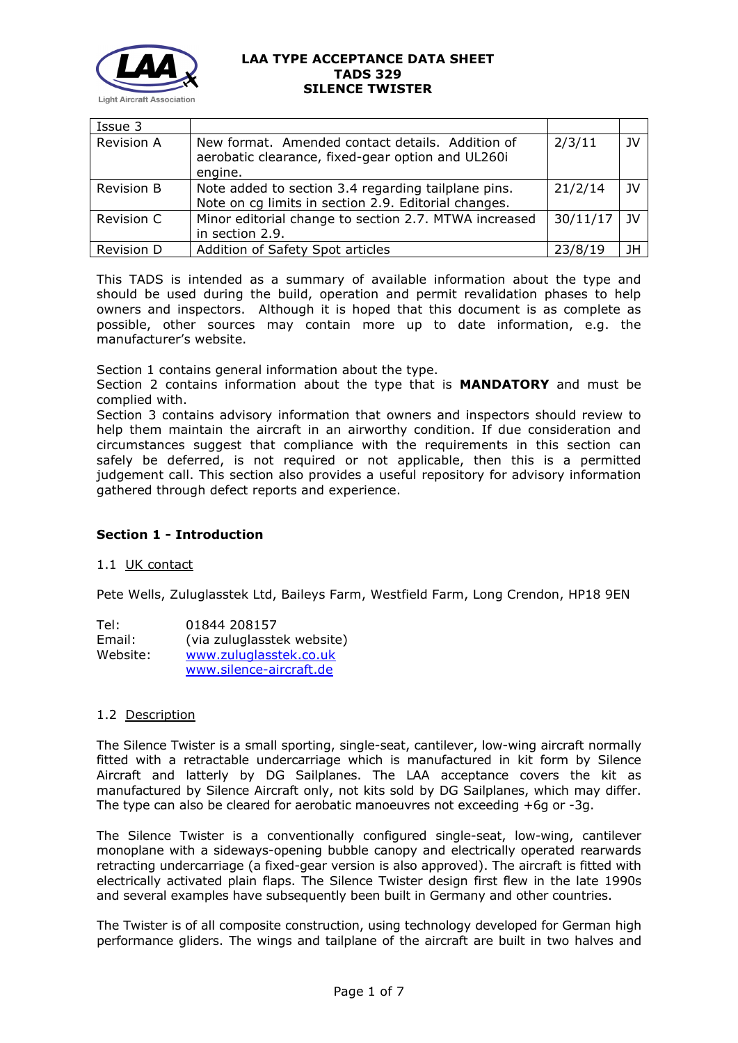

| Issue 3           |                                                                                                                  |          |      |
|-------------------|------------------------------------------------------------------------------------------------------------------|----------|------|
| <b>Revision A</b> | New format. Amended contact details. Addition of<br>aerobatic clearance, fixed-gear option and UL260i<br>engine. | 2/3/11   | JV   |
| <b>Revision B</b> | Note added to section 3.4 regarding tailplane pins.<br>Note on cg limits in section 2.9. Editorial changes.      | 21/2/14  | - 1V |
| Revision C        | Minor editorial change to section 2.7. MTWA increased<br>in section 2.9.                                         | 30/11/17 | - 1V |
| Revision D        | Addition of Safety Spot articles                                                                                 | 23/8/19  | JH   |

This TADS is intended as a summary of available information about the type and should be used during the build, operation and permit revalidation phases to help owners and inspectors. Although it is hoped that this document is as complete as possible, other sources may contain more up to date information, e.g. the manufacturer's website.

Section 1 contains general information about the type.

Section 2 contains information about the type that is **MANDATORY** and must be complied with.

Section 3 contains advisory information that owners and inspectors should review to help them maintain the aircraft in an airworthy condition. If due consideration and circumstances suggest that compliance with the requirements in this section can safely be deferred, is not required or not applicable, then this is a permitted judgement call. This section also provides a useful repository for advisory information gathered through defect reports and experience.

# **Section 1 - Introduction**

## 1.1 UK contact

Pete Wells, Zuluglasstek Ltd, Baileys Farm, Westfield Farm, Long Crendon, HP18 9EN

| Tel:     | 01844 208157               |
|----------|----------------------------|
| Email:   | (via zuluglasstek website) |
| Website: | www.zuluglasstek.co.uk     |
|          | www.silence-aircraft.de    |

## 1.2 Description

The Silence Twister is a small sporting, single-seat, cantilever, low-wing aircraft normally fitted with a retractable undercarriage which is manufactured in kit form by Silence Aircraft and latterly by DG Sailplanes. The LAA acceptance covers the kit as manufactured by Silence Aircraft only, not kits sold by DG Sailplanes, which may differ. The type can also be cleared for aerobatic manoeuvres not exceeding +6g or -3g.

The Silence Twister is a conventionally configured single-seat, low-wing, cantilever monoplane with a sideways-opening bubble canopy and electrically operated rearwards retracting undercarriage (a fixed-gear version is also approved). The aircraft is fitted with electrically activated plain flaps. The Silence Twister design first flew in the late 1990s and several examples have subsequently been built in Germany and other countries.

The Twister is of all composite construction, using technology developed for German high performance gliders. The wings and tailplane of the aircraft are built in two halves and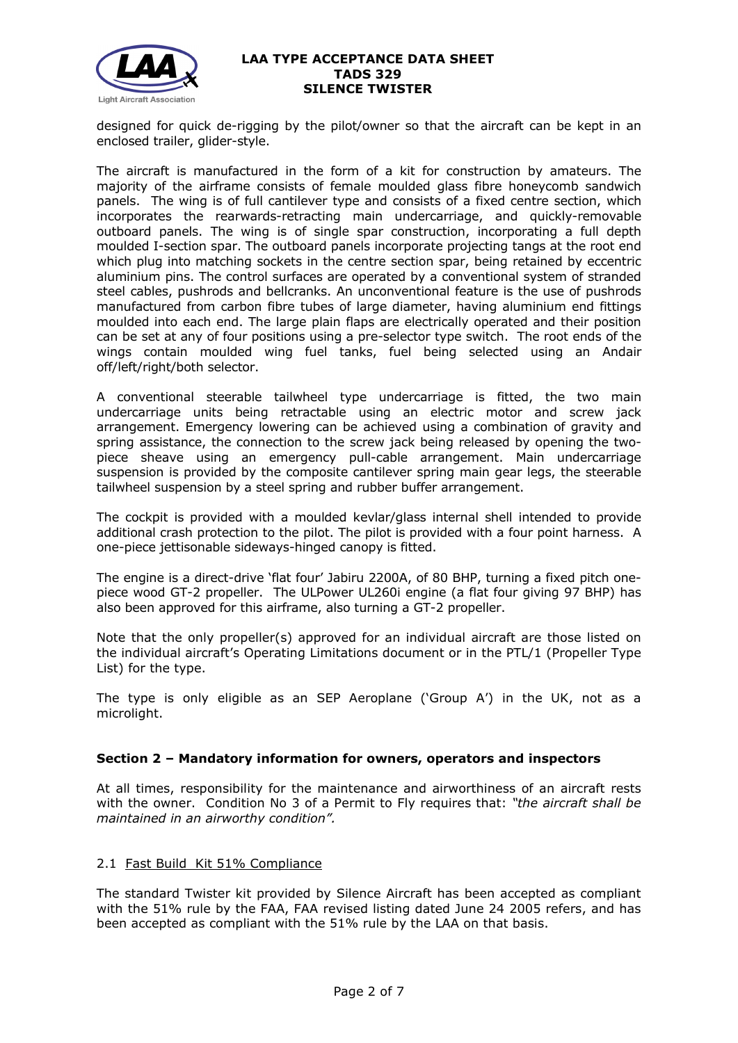

designed for quick de-rigging by the pilot/owner so that the aircraft can be kept in an enclosed trailer, glider-style.

The aircraft is manufactured in the form of a kit for construction by amateurs. The majority of the airframe consists of female moulded glass fibre honeycomb sandwich panels. The wing is of full cantilever type and consists of a fixed centre section, which incorporates the rearwards-retracting main undercarriage, and quickly-removable outboard panels. The wing is of single spar construction, incorporating a full depth moulded I-section spar. The outboard panels incorporate projecting tangs at the root end which plug into matching sockets in the centre section spar, being retained by eccentric aluminium pins. The control surfaces are operated by a conventional system of stranded steel cables, pushrods and bellcranks. An unconventional feature is the use of pushrods manufactured from carbon fibre tubes of large diameter, having aluminium end fittings moulded into each end. The large plain flaps are electrically operated and their position can be set at any of four positions using a pre-selector type switch. The root ends of the wings contain moulded wing fuel tanks, fuel being selected using an Andair off/left/right/both selector.

A conventional steerable tailwheel type undercarriage is fitted, the two main undercarriage units being retractable using an electric motor and screw jack arrangement. Emergency lowering can be achieved using a combination of gravity and spring assistance, the connection to the screw jack being released by opening the twopiece sheave using an emergency pull-cable arrangement. Main undercarriage suspension is provided by the composite cantilever spring main gear legs, the steerable tailwheel suspension by a steel spring and rubber buffer arrangement.

The cockpit is provided with a moulded kevlar/glass internal shell intended to provide additional crash protection to the pilot. The pilot is provided with a four point harness. A one-piece jettisonable sideways-hinged canopy is fitted.

The engine is a direct-drive 'flat four' Jabiru 2200A, of 80 BHP, turning a fixed pitch onepiece wood GT-2 propeller. The ULPower UL260i engine (a flat four giving 97 BHP) has also been approved for this airframe, also turning a GT-2 propeller.

Note that the only propeller(s) approved for an individual aircraft are those listed on the individual aircraft's Operating Limitations document or in the PTL/1 (Propeller Type List) for the type.

The type is only eligible as an SEP Aeroplane ('Group A') in the UK, not as a microlight.

## **Section 2 – Mandatory information for owners, operators and inspectors**

At all times, responsibility for the maintenance and airworthiness of an aircraft rests with the owner. Condition No 3 of a Permit to Fly requires that: *"the aircraft shall be maintained in an airworthy condition".* 

## 2.1 Fast Build Kit 51% Compliance

The standard Twister kit provided by Silence Aircraft has been accepted as compliant with the 51% rule by the FAA, FAA revised listing dated June 24 2005 refers, and has been accepted as compliant with the 51% rule by the LAA on that basis.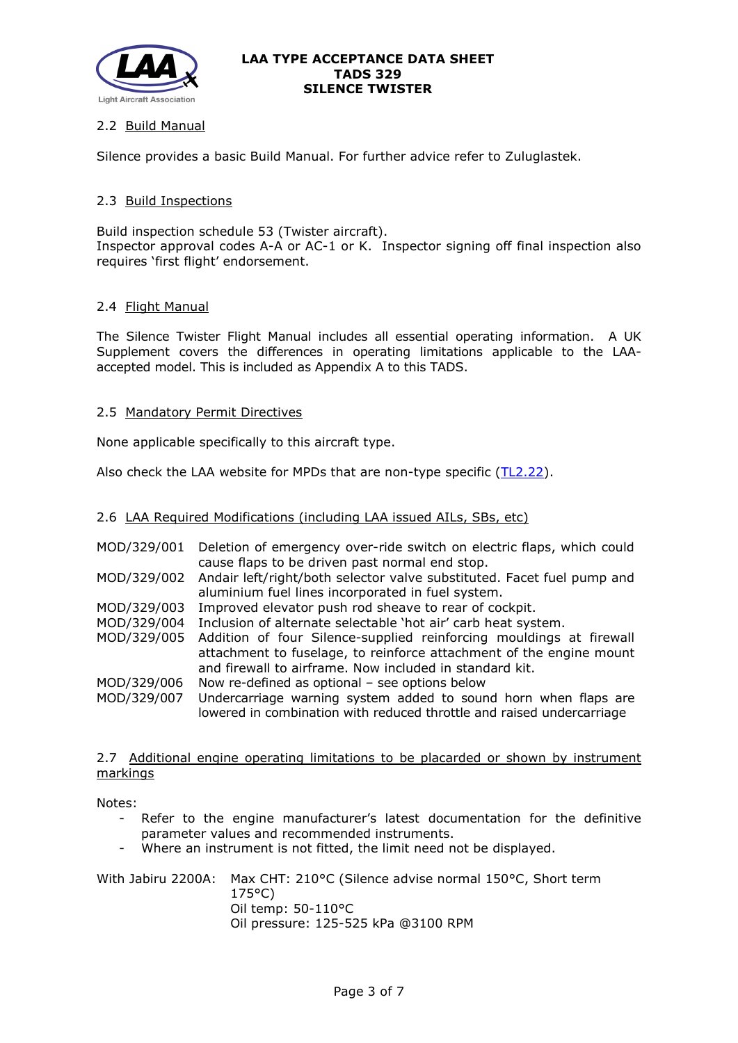

# 2.2 Build Manual

Silence provides a basic Build Manual. For further advice refer to Zuluglastek.

## 2.3 Build Inspections

Build inspection schedule 53 (Twister aircraft). Inspector approval codes A-A or AC-1 or K. Inspector signing off final inspection also requires 'first flight' endorsement.

## 2.4 Flight Manual

The Silence Twister Flight Manual includes all essential operating information. A UK Supplement covers the differences in operating limitations applicable to the LAAaccepted model. This is included as Appendix A to this TADS.

## 2.5 Mandatory Permit Directives

None applicable specifically to this aircraft type.

Also check the LAA website for MPDs that are non-type specific [\(TL2.22\)](http://www.lightaircraftassociation.co.uk/engineering/TechnicalLeaflets/Operating%20An%20Aircraft/TL%202.22%20non-type%20specific%20MPDs.pdf).

2.6 LAA Required Modifications (including LAA issued AILs, SBs, etc)

| MOD/329/001 | Deletion of emergency over-ride switch on electric flaps, which could<br>cause flaps to be driven past normal end stop.                                                                               |
|-------------|-------------------------------------------------------------------------------------------------------------------------------------------------------------------------------------------------------|
| MOD/329/002 | Andair left/right/both selector valve substituted. Facet fuel pump and<br>aluminium fuel lines incorporated in fuel system.                                                                           |
| MOD/329/003 | Improved elevator push rod sheave to rear of cockpit.                                                                                                                                                 |
| MOD/329/004 | Inclusion of alternate selectable 'hot air' carb heat system.                                                                                                                                         |
| MOD/329/005 | Addition of four Silence-supplied reinforcing mouldings at firewall<br>attachment to fuselage, to reinforce attachment of the engine mount<br>and firewall to airframe. Now included in standard kit. |
| MOD/329/006 | Now re-defined as optional $-$ see options below                                                                                                                                                      |
| MOD/329/007 | Undercarriage warning system added to sound horn when flaps are<br>lowered in combination with reduced throttle and raised undercarriage                                                              |

2.7 Additional engine operating limitations to be placarded or shown by instrument markings

Notes:

- Refer to the engine manufacturer's latest documentation for the definitive parameter values and recommended instruments.
- Where an instrument is not fitted, the limit need not be displayed.

With Jabiru 2200A: Max CHT: 210°C (Silence advise normal 150°C, Short term 175°C) Oil temp: 50-110°C Oil pressure: 125-525 kPa @3100 RPM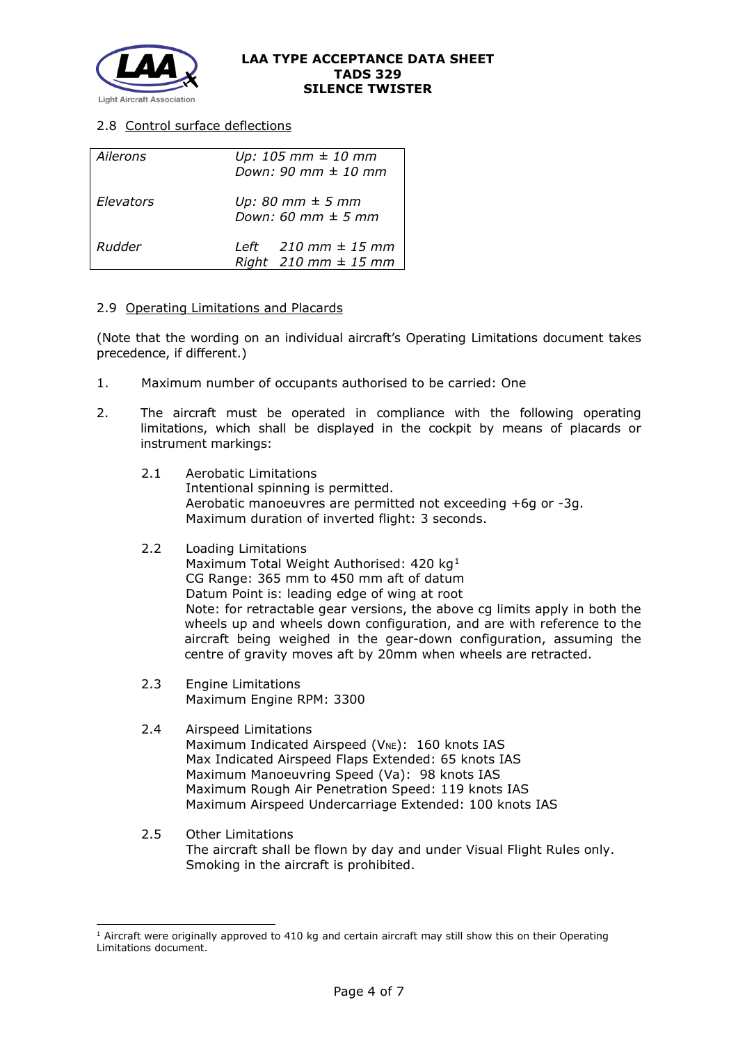

# 2.8 Control surface deflections

| Ailerons  | $Up: 105$ mm $\pm$ 10 mm<br>Down: 90 mm $\pm$ 10 mm                   |  |
|-----------|-----------------------------------------------------------------------|--|
| Elevators | Up: 80 mm $\pm$ 5 mm<br>Down: 60 mm $\pm$ 5 mm                        |  |
| Rudder    | Left $210 \text{ mm} \pm 15 \text{ mm}$<br>Right $210$ mm $\pm$ 15 mm |  |

## 2.9 Operating Limitations and Placards

(Note that the wording on an individual aircraft's Operating Limitations document takes precedence, if different.)

- 1. Maximum number of occupants authorised to be carried: One
- 2. The aircraft must be operated in compliance with the following operating limitations, which shall be displayed in the cockpit by means of placards or instrument markings:
	- 2.1 Aerobatic Limitations Intentional spinning is permitted. Aerobatic manoeuvres are permitted not exceeding +6g or -3g. Maximum duration of inverted flight: 3 seconds.
	- 2.2 Loading Limitations Maximum Total Weight Authorised: 420 kg<sup>[1](#page-3-0)</sup> CG Range: 365 mm to 450 mm aft of datum Datum Point is: leading edge of wing at root Note: for retractable gear versions, the above cg limits apply in both the wheels up and wheels down configuration, and are with reference to the aircraft being weighed in the gear-down configuration, assuming the centre of gravity moves aft by 20mm when wheels are retracted.
	- 2.3 Engine Limitations Maximum Engine RPM: 3300
	- 2.4 Airspeed Limitations Maximum Indicated Airspeed ( $V_{NE}$ ): 160 knots IAS Max Indicated Airspeed Flaps Extended: 65 knots IAS Maximum Manoeuvring Speed (Va): 98 knots IAS Maximum Rough Air Penetration Speed: 119 knots IAS Maximum Airspeed Undercarriage Extended: 100 knots IAS
	- 2.5 Other Limitations The aircraft shall be flown by day and under Visual Flight Rules only. Smoking in the aircraft is prohibited.

<span id="page-3-0"></span> $1$  Aircraft were originally approved to 410 kg and certain aircraft may still show this on their Operating Limitations document.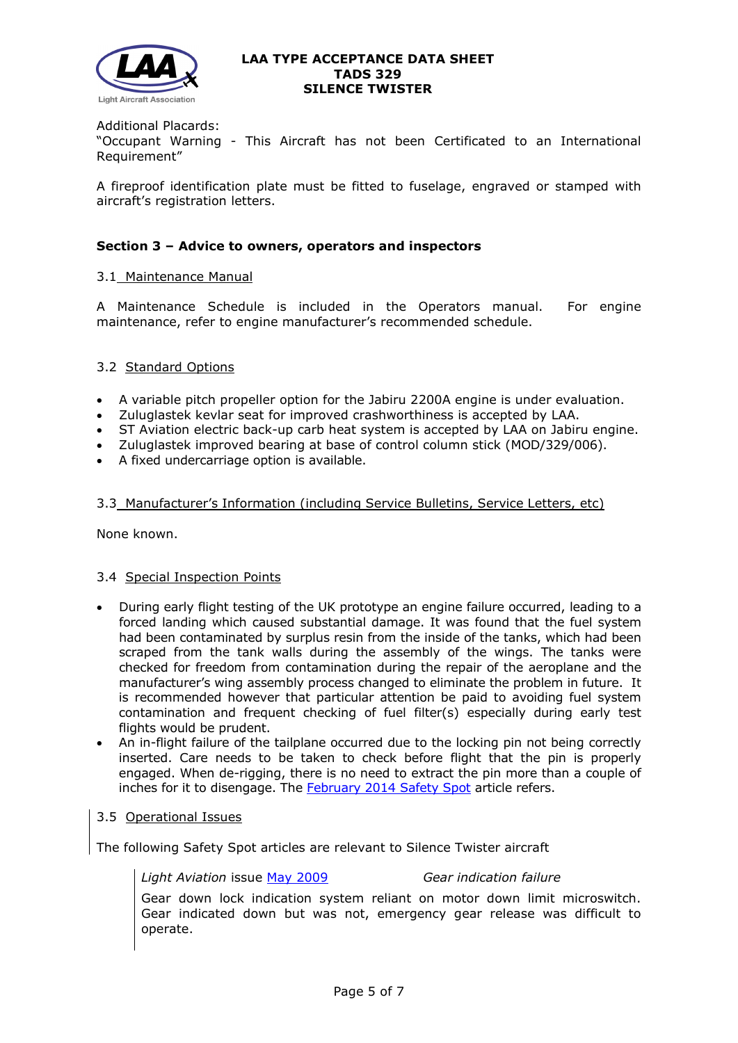

Additional Placards:

"Occupant Warning - This Aircraft has not been Certificated to an International Requirement"

A fireproof identification plate must be fitted to fuselage, engraved or stamped with aircraft's registration letters.

## **Section 3 – Advice to owners, operators and inspectors**

### 3.1 Maintenance Manual

A Maintenance Schedule is included in the Operators manual. For engine maintenance, refer to engine manufacturer's recommended schedule.

## 3.2 Standard Options

- A variable pitch propeller option for the Jabiru 2200A engine is under evaluation.
- Zuluglastek kevlar seat for improved crashworthiness is accepted by LAA.
- ST Aviation electric back-up carb heat system is accepted by LAA on Jabiru engine.
- Zuluglastek improved bearing at base of control column stick (MOD/329/006).
- A fixed undercarriage option is available.

## 3.3 Manufacturer's Information (including Service Bulletins, Service Letters, etc)

None known.

## 3.4 Special Inspection Points

- During early flight testing of the UK prototype an engine failure occurred, leading to a forced landing which caused substantial damage. It was found that the fuel system had been contaminated by surplus resin from the inside of the tanks, which had been scraped from the tank walls during the assembly of the wings. The tanks were checked for freedom from contamination during the repair of the aeroplane and the manufacturer's wing assembly process changed to eliminate the problem in future. It is recommended however that particular attention be paid to avoiding fuel system contamination and frequent checking of fuel filter(s) especially during early test flights would be prudent.
- An in-flight failure of the tailplane occurred due to the locking pin not being correctly inserted. Care needs to be taken to check before flight that the pin is properly engaged. When de-rigging, there is no need to extract the pin more than a couple of inches for it to disengage. The [February 2014 Safety Spot](http://www.lightaircraftassociation.co.uk/2014/Mag/Feb/Safety_Feb.pdf) article refers.

## 3.5 Operational Issues

The following Safety Spot articles are relevant to Silence Twister aircraft

*Light Aviation* issue [May 2009](http://www.lightaircraftassociation.co.uk/engineering/SafetyIssues/SafetySpotMay09.pdf) *Gear indication failure*

Gear down lock indication system reliant on motor down limit microswitch. Gear indicated down but was not, emergency gear release was difficult to operate.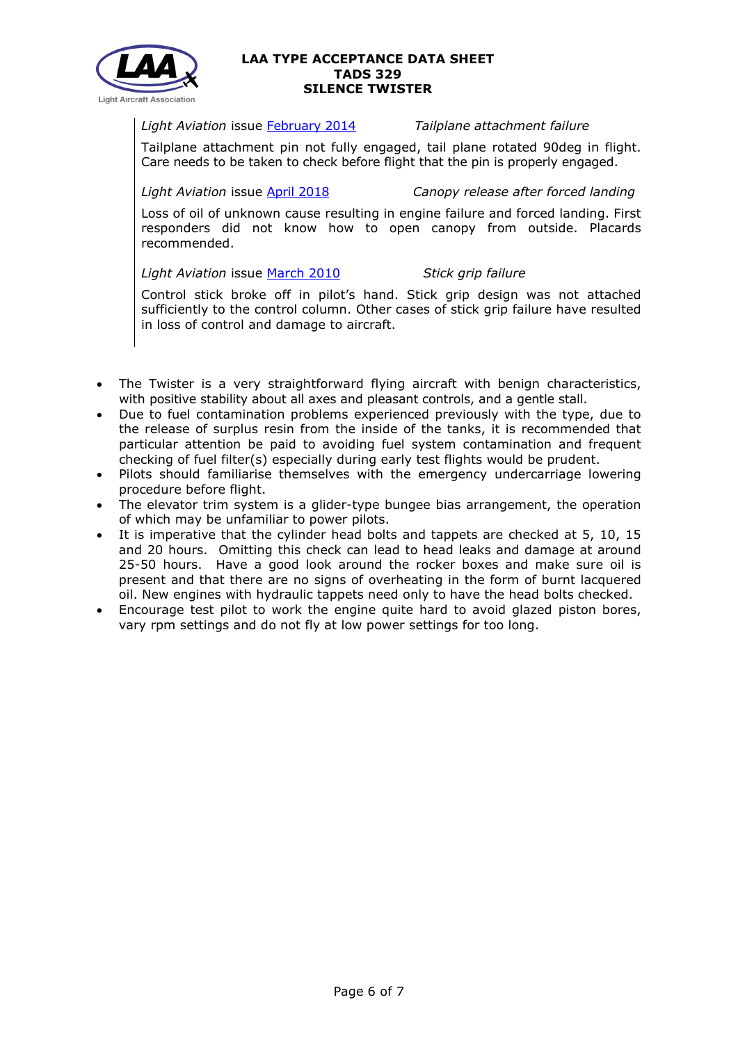

*Light Aviation* issue [February 2014](http://www.lightaircraftassociation.co.uk/2014/Mag/Feb/Safety_Feb.pdf) *Tailplane attachment failure*

Tailplane attachment pin not fully engaged, tail plane rotated 90deg in flight. Care needs to be taken to check before flight that the pin is properly engaged.

*Light Aviation* issue [April 2018](http://www.lightaircraftassociation.co.uk/2018/Magazine/Apr/safety_spot.pdf) *Canopy release after forced landing*

Loss of oil of unknown cause resulting in engine failure and forced landing. First responders did not know how to open canopy from outside. Placards recommended.

*Light Aviation* issue [March 2010](http://www.lightaircraftassociation.co.uk/2010/Magazine/2010/March/safety_spot_03.pdf) *Stick grip failure*

Control stick broke off in pilot's hand. Stick grip design was not attached sufficiently to the control column. Other cases of stick grip failure have resulted in loss of control and damage to aircraft.

- The Twister is a very straightforward flying aircraft with benign characteristics, with positive stability about all axes and pleasant controls, and a gentle stall.
- Due to fuel contamination problems experienced previously with the type, due to the release of surplus resin from the inside of the tanks, it is recommended that particular attention be paid to avoiding fuel system contamination and frequent checking of fuel filter(s) especially during early test flights would be prudent.
- Pilots should familiarise themselves with the emergency undercarriage lowering procedure before flight.
- The elevator trim system is a glider-type bungee bias arrangement, the operation of which may be unfamiliar to power pilots.
- It is imperative that the cylinder head bolts and tappets are checked at 5, 10, 15 and 20 hours. Omitting this check can lead to head leaks and damage at around 25-50 hours. Have a good look around the rocker boxes and make sure oil is present and that there are no signs of overheating in the form of burnt lacquered oil. New engines with hydraulic tappets need only to have the head bolts checked.
- Encourage test pilot to work the engine quite hard to avoid glazed piston bores, vary rpm settings and do not fly at low power settings for too long.